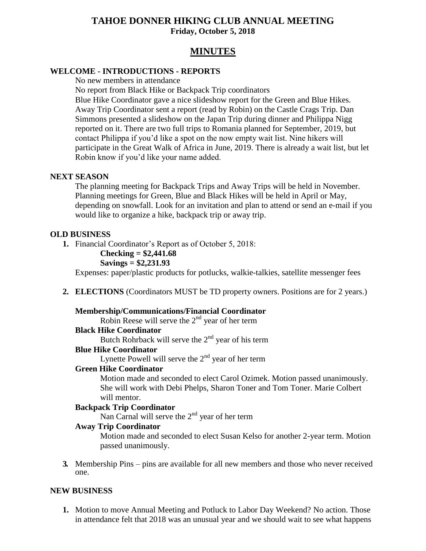## **TAHOE DONNER HIKING CLUB ANNUAL MEETING Friday, October 5, 2018**

# **MINUTES**

### **WELCOME - INTRODUCTIONS - REPORTS**

No new members in attendance

No report from Black Hike or Backpack Trip coordinators

Blue Hike Coordinator gave a nice slideshow report for the Green and Blue Hikes. Away Trip Coordinator sent a report (read by Robin) on the Castle Crags Trip. Dan Simmons presented a slideshow on the Japan Trip during dinner and Philippa Nigg reported on it. There are two full trips to Romania planned for September, 2019, but contact Philippa if you'd like a spot on the now empty wait list. Nine hikers will participate in the Great Walk of Africa in June, 2019. There is already a wait list, but let Robin know if you'd like your name added.

### **NEXT SEASON**

The planning meeting for Backpack Trips and Away Trips will be held in November. Planning meetings for Green, Blue and Black Hikes will be held in April or May, depending on snowfall. Look for an invitation and plan to attend or send an e-mail if you would like to organize a hike, backpack trip or away trip.

### **OLD BUSINESS**

- **1.** Financial Coordinator's Report as of October 5, 2018:
	- **Checking = \$2,441.68**

### **Savings = \$2,231.93**

Expenses: paper/plastic products for potlucks, walkie-talkies, satellite messenger fees

**2. ELECTIONS** (Coordinators MUST be TD property owners. Positions are for 2 years.)

### **Membership/Communications/Financial Coordinator**

Robin Reese will serve the  $2<sup>nd</sup>$  year of her term

### **Black Hike Coordinator**

Butch Rohrback will serve the  $2<sup>nd</sup>$  year of his term

### **Blue Hike Coordinator**

Lynette Powell will serve the  $2<sup>nd</sup>$  year of her term

### **Green Hike Coordinator**

Motion made and seconded to elect Carol Ozimek. Motion passed unanimously. She will work with Debi Phelps, Sharon Toner and Tom Toner. Marie Colbert will mentor.

### **Backpack Trip Coordinator**

Nan Carnal will serve the  $2<sup>nd</sup>$  year of her term

### **Away Trip Coordinator**

Motion made and seconded to elect Susan Kelso for another 2-year term. Motion passed unanimously.

**3.** Membership Pins – pins are available for all new members and those who never received one.

### **NEW BUSINESS**

**1.** Motion to move Annual Meeting and Potluck to Labor Day Weekend? No action. Those in attendance felt that 2018 was an unusual year and we should wait to see what happens